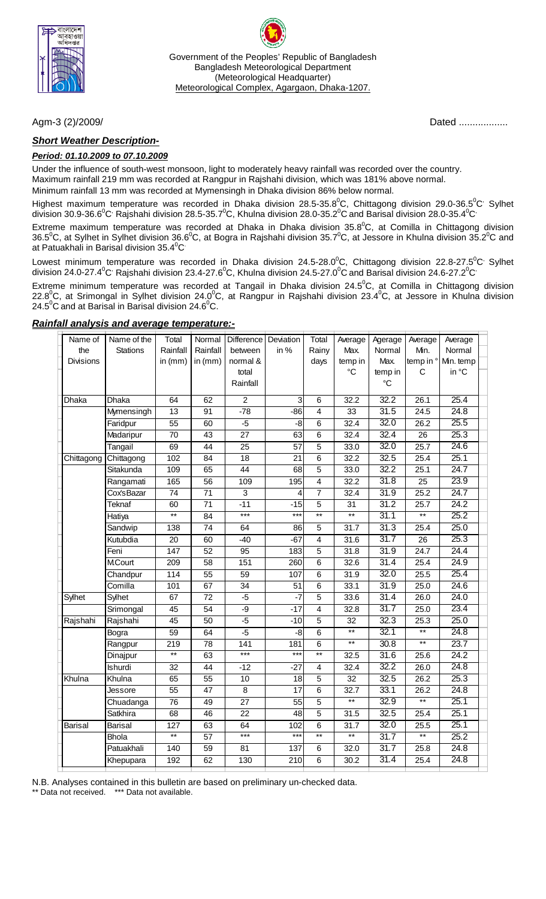

Government of the Peoples' Republic of Bangladesh Bangladesh Meteorological Department (Meteorological Headquarter) Meteorological Complex, Agargaon, Dhaka-1207.

### *Short Weather Description-*

#### *Period: 01.10.2009 to 07.10.2009*

Under the influence of south-west monsoon, light to moderately heavy rainfall was recorded over the country. Maximum rainfall 219 mm was recorded at Rangpur in Rajshahi division, which was 181% above normal. Minimum rainfall 13 mm was recorded at Mymensingh in Dhaka division 86% below normal.

Highest maximum temperature was recorded in Dhaka division 28.5-35.8<sup>0</sup>C, Chittagong division 29.0-36.5<sup>0</sup>C<sup>,</sup> Sylhet division 30.9-36.6 $^0$ C<sup>,</sup> Rajshahi division 28.5-35.7 $^0$ C, Khulna division 28.0-35.2 $^0$ C and Barisal division 28.0-35.4 $^0$ C $^{\circ}$ 

Extreme maximum temperature was recorded at Dhaka in Dhaka division 35.8 ${^0}C$ , at Comilla in Chittagong division 36.5<sup>o</sup>C, at Sylhet in Sylhet division 36.6<sup>o</sup>C, at Bogra in Rajshahi division 35.7<sup>o</sup>C, at Jessore in Khulna division 35.2<sup>o</sup>C and at Patuakhali in Barisal division 35.4 $\mathrm{^0C}$ 

Lowest minimum temperature was recorded in Dhaka division 24.5-28.0<sup>°</sup>C, Chittagong division 22.8-27.5<sup>°</sup>C<sup>,</sup> Sylhet division 24.0-27.4 $^0$ C<sup>,</sup> Rajshahi division 23.4-27.6 $^0$ C, Khulna division 24.5-27.0 $^0$ C and Barisal division 24.6-27.2 $^0$ C $^{\cdot}$ 

Extreme minimum temperature was recorded at Tangail in Dhaka division 24.5<sup>o</sup>C, at Comilla in Chittagong division 22.8<sup>0</sup>C, at Srimongal in Sylhet division 24.0<sup>0</sup>C, at Rangpur in Rajshahi division 23.4<sup>0</sup>C, at Jessore in Khulna division 24.5 $\mathrm{^0C}$  and at Barisal in Barisal division 24.6 $\mathrm{^0C}$ .

| Name of          | Name of the    | Total            | Normal          | Difference       | Deviation       | Total           | Average           | Agerage         | Average         | Average   |  |
|------------------|----------------|------------------|-----------------|------------------|-----------------|-----------------|-------------------|-----------------|-----------------|-----------|--|
| the              | Stations       | Rainfall         | Rainfall        | between          | in %            | Rainy           | Max.              | Normal          | Min.            | Normal    |  |
| <b>Divisions</b> |                | in $(mm)$        | in $(mm)$       | normal &         |                 | days            | temp in           | Max.            | temp in °       | Min. temp |  |
|                  |                |                  |                 | total            |                 |                 | $^{\circ}C$       | temp in         | С               | in °C     |  |
|                  |                |                  |                 | Rainfall         |                 |                 |                   | $\rm ^{\circ}C$ |                 |           |  |
| Dhaka            | Dhaka          | 64               | 62              | $\overline{2}$   | 3               | $\overline{6}$  | 32.2              | 32.2            | 26.1            | 25.4      |  |
|                  | Mymensingh     | $\overline{13}$  | 91              | $-78$            | $-86$           | $\overline{4}$  | 33                | 31.5            | 24.5            | 24.8      |  |
|                  | Faridpur       | 55               | 60              | $-5$             | -8              | 6               | 32.4              | 32.0            | 26.2            | 25.5      |  |
|                  | Madaripur      | $\overline{70}$  | 43              | $\overline{27}$  | 63              | 6               | 32.4              | 32.4            | $\overline{26}$ | 25.3      |  |
|                  | Tangail        | 69               | $\overline{44}$ | $\overline{25}$  | $\overline{57}$ | $\overline{5}$  | 33.0              | 32.0            | 25.7            | 24.6      |  |
| Chittagong       | Chittagong     | 102              | 84              | $\overline{18}$  | $\overline{21}$ | $\overline{6}$  | 32.2              | 32.5            | 25.4            | 25.1      |  |
|                  | Sitakunda      | 109              | 65              | $\overline{44}$  | 68              | $\overline{5}$  | 33.0              | 32.2            | 25.1            | 24.7      |  |
|                  | Rangamati      | 165              | 56              | 109              | 195             | $\overline{4}$  | 32.2              | 31.8            | $\overline{25}$ | 23.9      |  |
|                  | Cox'sBazar     | $\overline{74}$  | 71              | 3                | 4               | $\overline{7}$  | 32.4              | 31.9            | 25.2            | 24.7      |  |
|                  | Teknaf         | 60               | 71              | $-11$            | $-15$           | 5               | 31                | 31.2            | 25.7            | 24.2      |  |
|                  | Hatiya         | $^{\star\star}$  | 84              | $***$            | $***$           | $\star\star$    | $^{\star\star}$   | 31.1            | $**$            | 25.2      |  |
|                  | Sandwip        | 138              | 74              | 64               | 86              | 5               | 31.7              | 31.3            | 25.4            | 25.0      |  |
|                  | Kutubdia       | 20               | 60              | $-40$            | $-67$           | $\overline{4}$  | $\overline{31.6}$ | 31.7            | $\overline{26}$ | 25.3      |  |
|                  | Feni           | 147              | 52              | 95               | 183             | 5               | 31.8              | 31.9            | 24.7            | 24.4      |  |
|                  | <b>M.Court</b> | 209              | 58              | 151              | 260             | 6               | 32.6              | 31.4            | 25.4            | 24.9      |  |
|                  | Chandpur       | 114              | $\overline{55}$ | 59               | 107             | $\,6\,$         | 31.9              | 32.0            | 25.5            | 25.4      |  |
|                  | Comilla        | 101              | 67              | 34               | $\overline{51}$ | $\overline{6}$  | 33.1              | 31.9            | 25.0            | 24.6      |  |
| Sylhet           | Sylhet         | 67               | 72              | $-5$             | $-7$            | 5               | 33.6              | 31.4            | 26.0            | 24.0      |  |
|                  | Srimongal      | 45               | $\overline{54}$ | $-9$             | $-17$           | $\overline{4}$  | 32.8              | 31.7            | 25.0            | 23.4      |  |
| Rajshahi         | Rajshahi       | 45               | 50              | $-5$             | $-10$           | $\overline{5}$  | 32                | 32.3            | 25.3            | 25.0      |  |
|                  | Bogra          | 59               | 64              | $-5$             | -8              | $\,6\,$         | $***$             | 32.1            | $^{\star\star}$ | 24.8      |  |
|                  | Rangpur        | 219              | 78              | $\overline{141}$ | 181             | $\overline{6}$  | $\overline{**}$   | 30.8            | $\star\star$    | 23.7      |  |
|                  | Dinajpur       | $\star\star$     | 63              | $***$            | $***$           | $\star\star$    | 32.5              | 31.6            | 25.6            | 24.2      |  |
|                  | Ishurdi        | 32               | 44              | $-12$            | $-27$           | 4               | 32.4              | 32.2            | 26.0            | 24.8      |  |
| Khulna           | Khulna         | 65               | $\overline{55}$ | 10               | $\overline{18}$ | $\overline{5}$  | $\overline{32}$   | 32.5            | 26.2            | 25.3      |  |
|                  | <b>Jessore</b> | $\overline{55}$  | $\overline{47}$ | $\overline{8}$   | $\overline{17}$ | $\overline{6}$  | 32.7              | 33.1            | 26.2            | 24.8      |  |
|                  | Chuadanga      | $\overline{76}$  | 49              | $\overline{27}$  | $\overline{55}$ | $\overline{5}$  | $**$              | 32.9            | $\star\star$    | 25.1      |  |
|                  | Satkhira       | 68               | 46              | 22               | 48              | 5               | 31.5              | 32.5            | 25.4            | 25.1      |  |
| <b>Barisal</b>   | Barisal        | $\overline{127}$ | 63              | 64               | 102             | $\overline{6}$  | 31.7              | 32.0            | 25.5            | 25.1      |  |
|                  | <b>Bhola</b>   | $\overline{**}$  | $\overline{57}$ | $***$            | $***$           | $\overline{**}$ | $\overline{**}$   | 31.7            | $***$           | 25.2      |  |
|                  | Patuakhali     | 140              | 59              | 81               | 137             | $\,6\,$         | 32.0              | 31.7            | 25.8            | 24.8      |  |
|                  | Khepupara      | 192              | 62              | 130              | 210             | 6               | 30.2              | 31.4            | 25.4            | 24.8      |  |
|                  |                |                  |                 |                  |                 |                 |                   |                 |                 |           |  |

#### *Rainfall analysis and average temperature:-*

N.B. Analyses contained in this bulletin are based on preliminary un-checked data.

\*\* Data not received. \*\*\* Data not available.

Agm-3 (2)/2009/*Dated ................***...**